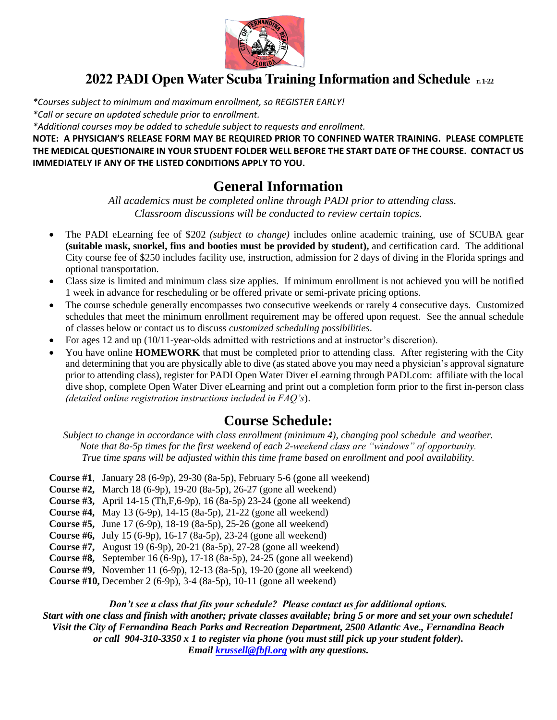

# **2022 PADI Open Water Scuba Training Information and Schedule r.1-22**

*\*Courses subject to minimum and maximum enrollment, so REGISTER EARLY! \*Call or secure an updated schedule prior to enrollment.*

*\*Additional courses may be added to schedule subject to requests and enrollment.*

**NOTE: A PHYSICIAN'S RELEASE FORM MAY BE REQUIRED PRIOR TO CONFINED WATER TRAINING. PLEASE COMPLETE THE MEDICAL QUESTIONAIRE IN YOUR STUDENT FOLDER WELL BEFORE THE START DATE OF THE COURSE. CONTACT US IMMEDIATELY IF ANY OF THE LISTED CONDITIONS APPLY TO YOU.**

## **General Information**

 *All academics must be completed online through PADI prior to attending class. Classroom discussions will be conducted to review certain topics.* 

- The PADI eLearning fee of \$202 *(subject to change)* includes online academic training, use of SCUBA gear **(suitable mask, snorkel, fins and booties must be provided by student),** and certification card. The additional City course fee of \$250 includes facility use, instruction, admission for 2 days of diving in the Florida springs and optional transportation.
- Class size is limited and minimum class size applies. If minimum enrollment is not achieved you will be notified 1 week in advance for rescheduling or be offered private or semi-private pricing options.
- The course schedule generally encompasses two consecutive weekends or rarely 4 consecutive days. Customized schedules that meet the minimum enrollment requirement may be offered upon request. See the annual schedule of classes below or contact us to discuss *customized scheduling possibilities*.
- For ages 12 and up (10/11-year-olds admitted with restrictions and at instructor's discretion).
- You have online **HOMEWORK** that must be completed prior to attending class. After registering with the City and determining that you are physically able to dive (as stated above you may need a physician's approval signature prior to attending class), register for PADI Open Water Diver eLearning through PADI.com: affiliate with the local dive shop, complete Open Water Diver eLearning and print out a completion form prior to the first in-person class *(detailed online registration instructions included in FAQ's*).

### **Course Schedule:**

*Subject to change in accordance with class enrollment (minimum 4), changing pool schedule and weather. Note that 8a-5p times for the first weekend of each 2-weekend class are "windows" of opportunity. True time spans will be adjusted within this time frame based on enrollment and pool availability.*

- **Course #1**, January 28 (6-9p), 29-30 (8a-5p), February 5-6 (gone all weekend)
- **Course #2,** March 18 (6-9p), 19-20 (8a-5p), 26-27 (gone all weekend)
- **Course #3,** April 14-15 (Th,F,6-9p), 16 (8a-5p) 23-24 (gone all weekend)
- **Course #4,** May 13 (6-9p), 14-15 (8a-5p), 21-22 (gone all weekend)
- **Course #5,** June 17 (6-9p), 18-19 (8a-5p), 25-26 (gone all weekend)
- **Course #6,** July 15 (6-9p), 16-17 (8a-5p), 23-24 (gone all weekend)
- **Course #7,** August 19 (6-9p), 20-21 (8a-5p), 27-28 (gone all weekend)
- **Course #8,** September 16 (6-9p), 17-18 (8a-5p), 24-25 (gone all weekend)
- **Course #9,** November 11 (6-9p), 12-13 (8a-5p), 19-20 (gone all weekend)
- **Course #10,** December 2 (6-9p), 3-4 (8a-5p), 10-11 (gone all weekend)

*Don't see a class that fits your schedule? Please contact us for additional options. Start with one class and finish with another; private classes available; bring 5 or more and set your own schedule! Visit the City of Fernandina Beach Parks and Recreation Department, 2500 Atlantic Ave., Fernandina Beach or call 904-310-3350 x 1 to register via phone (you must still pick up your student folder). Email [krussell@fbfl.org](mailto:krussell@fbfl.org) with any questions.*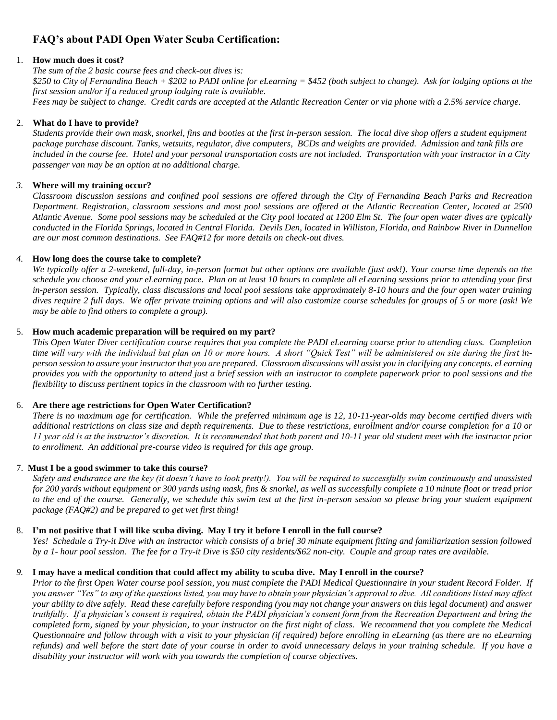### **FAQ's about PADI Open Water Scuba Certification:**

#### 1. **How much does it cost?**

*The sum of the 2 basic course fees and check-out dives is: \$250 to City of Fernandina Beach + \$202 to PADI online for eLearning = \$452 (both subject to change). Ask for lodging options at the first session and/or if a reduced group lodging rate is available. Fees may be subject to change. Credit cards are accepted at the Atlantic Recreation Center or via phone with a 2.5% service charge.* 

#### 2. **What do I have to provide?**

*Students provide their own mask, snorkel, fins and booties at the first in-person session. The local dive shop offers a student equipment package purchase discount. Tanks, wetsuits, regulator, dive computers, BCDs and weights are provided. Admission and tank fills are included in the course fee. Hotel and your personal transportation costs are not included. Transportation with your instructor in a City passenger van may be an option at no additional charge.* 

#### *3.* **Where will my training occur?**

*Classroom discussion sessions and confined pool sessions are offered through the City of Fernandina Beach Parks and Recreation Department. Registration, classroom sessions and most pool sessions are offered at the Atlantic Recreation Center, located at 2500 Atlantic Avenue. Some pool sessions may be scheduled at the City pool located at 1200 Elm St. The four open water dives are typically conducted in the Florida Springs, located in Central Florida. Devils Den, located in Williston, Florida, and Rainbow River in Dunnellon are our most common destinations. See FAQ#12 for more details on check-out dives.* 

#### *4.* **How long does the course take to complete?**

*We typically offer a 2-weekend, full-day, in-person format but other options are available (just ask!). Your course time depends on the schedule you choose and your eLearning pace. Plan on at least 10 hours to complete all eLearning sessions prior to attending your first in-person session. Typically, class discussions and local pool sessions take approximately 8-10 hours and the four open water training dives require 2 full days. We offer private training options and will also customize course schedules for groups of 5 or more (ask! We may be able to find others to complete a group).* 

#### 5. **How much academic preparation will be required on my part?**

*This Open Water Diver certification course requires that you complete the PADI eLearning course prior to attending class. Completion time will vary with the individual but plan on 10 or more hours. A short "Quick Test" will be administered on site during the first inperson session to assure your instructor that you are prepared. Classroom discussions will assist you in clarifying any concepts. eLearning provides you with the opportunity to attend just a brief session with an instructor to complete paperwork prior to pool sessions and the flexibility to discuss pertinent topics in the classroom with no further testing.* 

#### 6. **Are there age restrictions for Open Water Certification?**

*There is no maximum age for certification. While the preferred minimum age is 12, 10-11-year-olds may become certified divers with additional restrictions on class size and depth requirements. Due to these restrictions, enrollment and/or course completion for a 10 or 11 year old is at the instructor's discretion. It is recommended that both parent and 10-11 year old student meet with the instructor prior to enrollment. An additional pre-course video is required for this age group.* 

#### 7. **Must I be a good swimmer to take this course?**

*Safety and endurance are the key (it doesn't have to look pretty!). You will be required to successfully swim continuously and unassisted for 200 yards without equipment or 300 yards using mask, fins & snorkel, as well as successfully complete a 10 minute float or tread prior to the end of the course. Generally, we schedule this swim test at the first in-person session so please bring your student equipment package (FAQ#2) and be prepared to get wet first thing!* 

#### 8. **I'm not positive that I will like scuba diving. May I try it before I enroll in the full course?**

*Yes! Schedule a Try-it Dive with an instructor which consists of a brief 30 minute equipment fitting and familiarization session followed by a 1- hour pool session. The fee for a Try-it Dive is \$50 city residents/\$62 non-city. Couple and group rates are available.*

#### *9.* **I may have a medical condition that could affect my ability to scuba dive. May I enroll in the course?**

*Prior to the first Open Water course pool session, you must complete the PADI Medical Questionnaire in your student Record Folder. If you answer "Yes" to any of the questions listed, you may have to obtain your physician's approval to dive. All conditions listed may affect your ability to dive safely. Read these carefully before responding (you may not change your answers on this legal document) and answer truthfully. If a physician's consent is required, obtain the PADI physician's consent form from the Recreation Department and bring the completed form, signed by your physician, to your instructor on the first night of class. We recommend that you complete the Medical Questionnaire and follow through with a visit to your physician (if required) before enrolling in eLearning (as there are no eLearning refunds) and well before the start date of your course in order to avoid unnecessary delays in your training schedule. If you have a disability your instructor will work with you towards the completion of course objectives.*